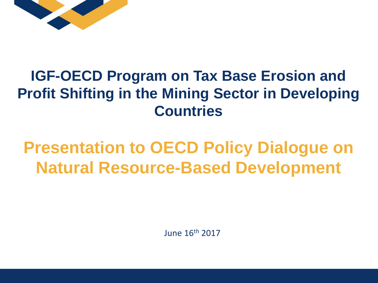

## **IGF-OECD Program on Tax Base Erosion and Profit Shifting in the Mining Sector in Developing Countries**

## **Presentation to OECD Policy Dialogue on Natural Resource-Based Development**

June 16th 2017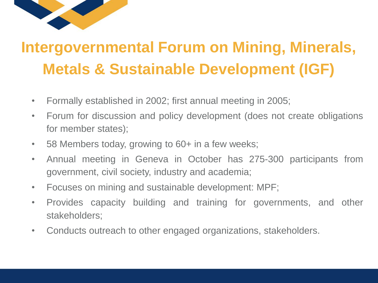

## **Intergovernmental Forum on Mining, Minerals, Metals & Sustainable Development (IGF)**

- Formally established in 2002; first annual meeting in 2005;
- Forum for discussion and policy development (does not create obligations for member states);
- 58 Members today, growing to 60+ in a few weeks;
- Annual meeting in Geneva in October has 275-300 participants from government, civil society, industry and academia;
- Focuses on mining and sustainable development: MPF;
- Provides capacity building and training for governments, and other stakeholders;
- Conducts outreach to other engaged organizations, stakeholders.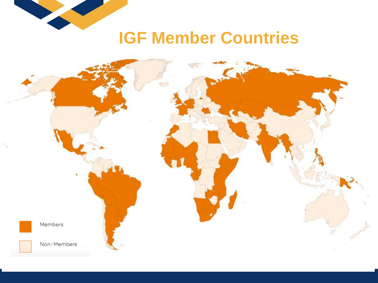

## **IGF Member Countries**

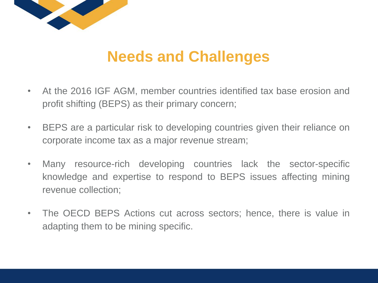

## **Needs and Challenges**

- At the 2016 IGF AGM, member countries identified tax base erosion and profit shifting (BEPS) as their primary concern;
- BEPS are a particular risk to developing countries given their reliance on corporate income tax as a major revenue stream;
- Many resource-rich developing countries lack the sector-specific knowledge and expertise to respond to BEPS issues affecting mining revenue collection;
- The OECD BEPS Actions cut across sectors; hence, there is value in adapting them to be mining specific.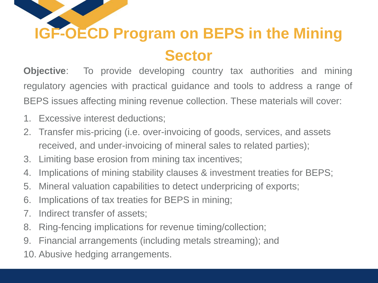# **IGF-OECD Program on BEPS in the Mining Sector**

**Objective**: To provide developing country tax authorities and mining regulatory agencies with practical guidance and tools to address a range of BEPS issues affecting mining revenue collection. These materials will cover:

- 1. Excessive interest deductions;
- 2. Transfer mis-pricing (i.e. over-invoicing of goods, services, and assets received, and under-invoicing of mineral sales to related parties);
- 3. Limiting base erosion from mining tax incentives;
- 4. Implications of mining stability clauses & investment treaties for BEPS;
- 5. Mineral valuation capabilities to detect underpricing of exports;
- 6. Implications of tax treaties for BEPS in mining;
- 7. Indirect transfer of assets;
- 8. Ring-fencing implications for revenue timing/collection;
- 9. Financial arrangements (including metals streaming); and
- 10. Abusive hedging arrangements.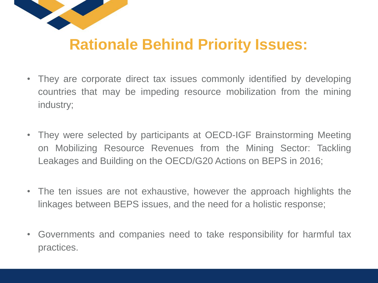

## **Rationale Behind Priority Issues:**

- They are corporate direct tax issues commonly identified by developing countries that may be impeding resource mobilization from the mining industry;
- They were selected by participants at OECD-IGF Brainstorming Meeting on Mobilizing Resource Revenues from the Mining Sector: Tackling Leakages and Building on the OECD/G20 Actions on BEPS in 2016;
- The ten issues are not exhaustive, however the approach highlights the linkages between BEPS issues, and the need for a holistic response;
- Governments and companies need to take responsibility for harmful tax practices.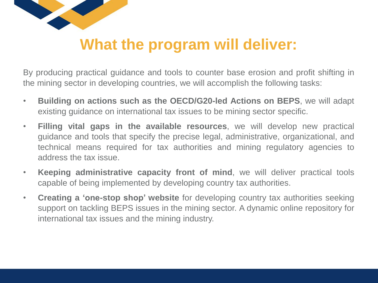

## **What the program will deliver:**

By producing practical guidance and tools to counter base erosion and profit shifting in the mining sector in developing countries, we will accomplish the following tasks:

- **Building on actions such as the OECD/G20-led Actions on BEPS**, we will adapt existing guidance on international tax issues to be mining sector specific.
- **Filling vital gaps in the available resources**, we will develop new practical guidance and tools that specify the precise legal, administrative, organizational, and technical means required for tax authorities and mining regulatory agencies to address the tax issue.
- **Keeping administrative capacity front of mind**, we will deliver practical tools capable of being implemented by developing country tax authorities.
- **Creating a 'one-stop shop' website** for developing country tax authorities seeking support on tackling BEPS issues in the mining sector. A dynamic online repository for international tax issues and the mining industry.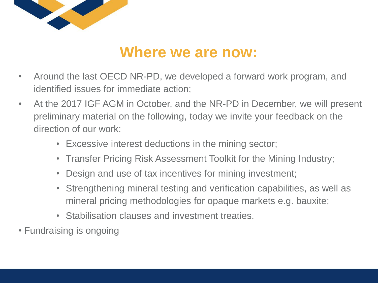

### **Where we are now:**

- Around the last OECD NR-PD, we developed a forward work program, and identified issues for immediate action;
- At the 2017 IGF AGM in October, and the NR-PD in December, we will present preliminary material on the following, today we invite your feedback on the direction of our work:
	- Excessive interest deductions in the mining sector;
	- Transfer Pricing Risk Assessment Toolkit for the Mining Industry;
	- Design and use of tax incentives for mining investment;
	- Strengthening mineral testing and verification capabilities, as well as mineral pricing methodologies for opaque markets e.g. bauxite;
	- Stabilisation clauses and investment treaties.
- Fundraising is ongoing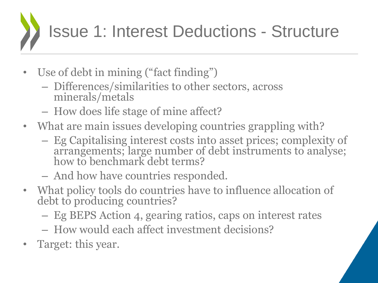# Issue 1: Interest Deductions - Structure

- Use of debt in mining ("fact finding")
	- Differences/similarities to other sectors, across minerals/metals
	- How does life stage of mine affect?
- What are main issues developing countries grappling with?
	- Eg Capitalising interest costs into asset prices; complexity of arrangements; large number of debt instruments to analyse; how to benchmark debt terms?
	- And how have countries responded.
- What policy tools do countries have to influence allocation of debt to producing countries?
	- Eg BEPS Action 4, gearing ratios, caps on interest rates
	- How would each affect investment decisions?
- Target: this year.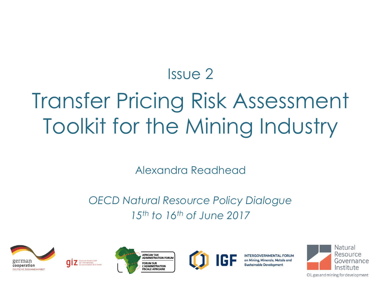## Issue 2

## Transfer Pricing Risk Assessment Toolkit for the Mining Industry

Alexandra Readhead

#### *OECD Natural Resource Policy Dialogue 15th to 16th of June 2017*









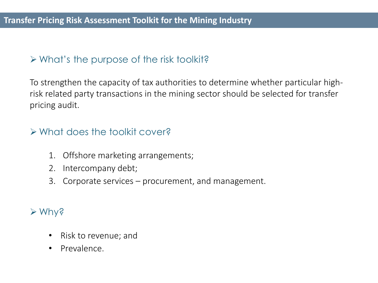#### $\triangleright$  What's the purpose of the risk toolkit?

To strengthen the capacity of tax authorities to determine whether particular highrisk related party transactions in the mining sector should be selected for transfer pricing audit.

#### What does the toolkit cover?

- 1. Offshore marketing arrangements;
- 2. Intercompany debt;
- 3. Corporate services procurement, and management.

#### Why?

- Risk to revenue; and
- Prevalence.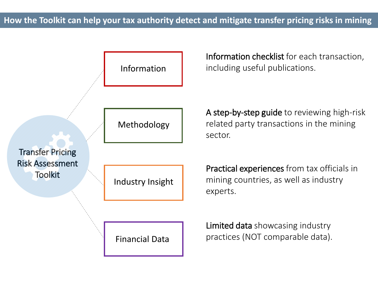

Information checklist for each transaction, including useful publications.

A step-by-step guide to reviewing high-risk related party transactions in the mining sector.

Practical experiences from tax officials in mining countries, as well as industry experts.

Limited data showcasing industry practices (NOT comparable data).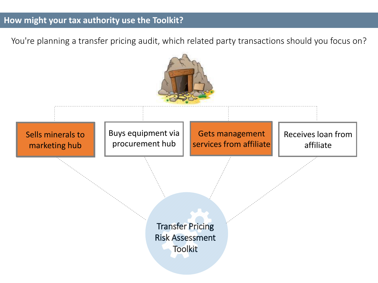#### **How might your tax authority use the Toolkit?**

You're planning a transfer pricing audit, which related party transactions should you focus on?

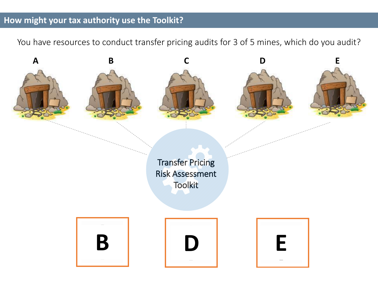#### **How might your tax authority use the Toolkit?**

You have resources to conduct transfer pricing audits for 3 of 5 mines, which do you audit?

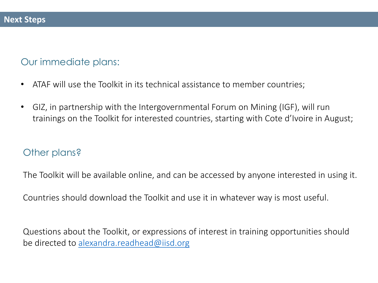#### Our immediate plans:

- ATAF will use the Toolkit in its technical assistance to member countries;
- GIZ, in partnership with the Intergovernmental Forum on Mining (IGF), will run trainings on the Toolkit for interested countries, starting with Cote d'Ivoire in August;

#### Other plans?

The Toolkit will be available online, and can be accessed by anyone interested in using it.

Countries should download the Toolkit and use it in whatever way is most useful.

Questions about the Toolkit, or expressions of interest in training opportunities should be directed to [alexandra.readhead@iisd.org](mailto:alexandra.readhead@iisd.org)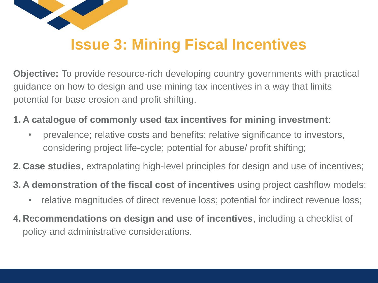

## **Issue 3: Mining Fiscal Incentives**

**Objective:** To provide resource-rich developing country governments with practical guidance on how to design and use mining tax incentives in a way that limits potential for base erosion and profit shifting.

**1. A catalogue of commonly used tax incentives for mining investment**:

• prevalence; relative costs and benefits; relative significance to investors, considering project life-cycle; potential for abuse/ profit shifting;

**2. Case studies**, extrapolating high-level principles for design and use of incentives;

**3. A demonstration of the fiscal cost of incentives** using project cashflow models;

- relative magnitudes of direct revenue loss; potential for indirect revenue loss;
- **4. Recommendations on design and use of incentives**, including a checklist of policy and administrative considerations.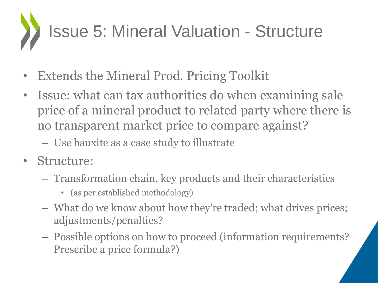

- **Extends the Mineral Prod. Pricing Toolkit**
- Issue: what can tax authorities do when examining sale price of a mineral product to related party where there is no transparent market price to compare against?
	- Use bauxite as a case study to illustrate
- Structure:
	- Transformation chain, key products and their characteristics
		- (as per established methodology)
	- What do we know about how they're traded; what drives prices; adjustments/penalties?
	- Possible options on how to proceed (information requirements? Prescribe a price formula?)